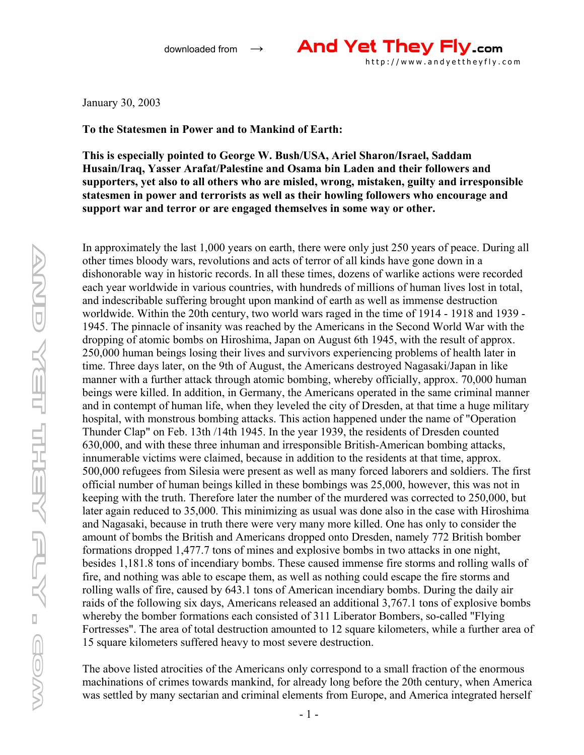

January 30, 2003

**To the Statesmen in Power and to Mankind of Earth:** 

**This is especially pointed to George W. Bush/USA, Ariel Sharon/Israel, Saddam Husain/Iraq, Yasser Arafat/Palestine and Osama bin Laden and their followers and supporters, yet also to all others who are misled, wrong, mistaken, guilty and irresponsible statesmen in power and terrorists as well as their howling followers who encourage and support war and terror or are engaged themselves in some way or other.** 

In approximately the last 1,000 years on earth, there were only just 250 years of peace. During all other times bloody wars, revolutions and acts of terror of all kinds have gone down in a dishonorable way in historic records. In all these times, dozens of warlike actions were recorded each year worldwide in various countries, with hundreds of millions of human lives lost in total, and indescribable suffering brought upon mankind of earth as well as immense destruction worldwide. Within the 20th century, two world wars raged in the time of 1914 - 1918 and 1939 - 1945. The pinnacle of insanity was reached by the Americans in the Second World War with the dropping of atomic bombs on Hiroshima, Japan on August 6th 1945, with the result of approx. 250,000 human beings losing their lives and survivors experiencing problems of health later in time. Three days later, on the 9th of August, the Americans destroyed Nagasaki/Japan in like manner with a further attack through atomic bombing, whereby officially, approx. 70,000 human beings were killed. In addition, in Germany, the Americans operated in the same criminal manner and in contempt of human life, when they leveled the city of Dresden, at that time a huge military hospital, with monstrous bombing attacks. This action happened under the name of "Operation Thunder Clap" on Feb. 13th /14th 1945. In the year 1939, the residents of Dresden counted 630,000, and with these three inhuman and irresponsible British-American bombing attacks, innumerable victims were claimed, because in addition to the residents at that time, approx. 500,000 refugees from Silesia were present as well as many forced laborers and soldiers. The first official number of human beings killed in these bombings was 25,000, however, this was not in keeping with the truth. Therefore later the number of the murdered was corrected to 250,000, but later again reduced to 35,000. This minimizing as usual was done also in the case with Hiroshima and Nagasaki, because in truth there were very many more killed. One has only to consider the amount of bombs the British and Americans dropped onto Dresden, namely 772 British bomber formations dropped 1,477.7 tons of mines and explosive bombs in two attacks in one night, besides 1,181.8 tons of incendiary bombs. These caused immense fire storms and rolling walls of fire, and nothing was able to escape them, as well as nothing could escape the fire storms and rolling walls of fire, caused by 643.1 tons of American incendiary bombs. During the daily air raids of the following six days, Americans released an additional 3,767.1 tons of explosive bombs whereby the bomber formations each consisted of 311 Liberator Bombers, so-called "Flying Fortresses". The area of total destruction amounted to 12 square kilometers, while a further area of 15 square kilometers suffered heavy to most severe destruction.

The above listed atrocities of the Americans only correspond to a small fraction of the enormous machinations of crimes towards mankind, for already long before the 20th century, when America was settled by many sectarian and criminal elements from Europe, and America integrated herself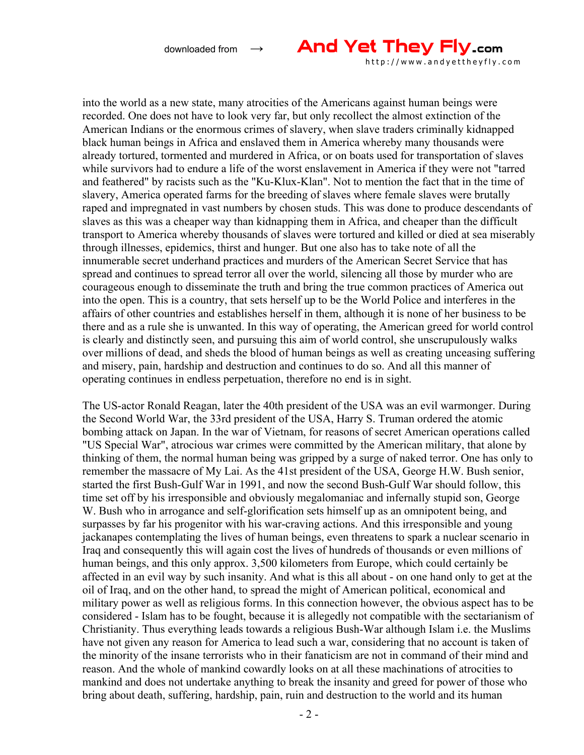

http://www.andyettheyfly.com

into the world as a new state, many atrocities of the Americans against human beings were recorded. One does not have to look very far, but only recollect the almost extinction of the American Indians or the enormous crimes of slavery, when slave traders criminally kidnapped black human beings in Africa and enslaved them in America whereby many thousands were already tortured, tormented and murdered in Africa, or on boats used for transportation of slaves while survivors had to endure a life of the worst enslavement in America if they were not "tarred and feathered" by racists such as the "Ku-Klux-Klan". Not to mention the fact that in the time of slavery, America operated farms for the breeding of slaves where female slaves were brutally raped and impregnated in vast numbers by chosen studs. This was done to produce descendants of slaves as this was a cheaper way than kidnapping them in Africa, and cheaper than the difficult transport to America whereby thousands of slaves were tortured and killed or died at sea miserably through illnesses, epidemics, thirst and hunger. But one also has to take note of all the innumerable secret underhand practices and murders of the American Secret Service that has spread and continues to spread terror all over the world, silencing all those by murder who are courageous enough to disseminate the truth and bring the true common practices of America out into the open. This is a country, that sets herself up to be the World Police and interferes in the affairs of other countries and establishes herself in them, although it is none of her business to be there and as a rule she is unwanted. In this way of operating, the American greed for world control is clearly and distinctly seen, and pursuing this aim of world control, she unscrupulously walks over millions of dead, and sheds the blood of human beings as well as creating unceasing suffering and misery, pain, hardship and destruction and continues to do so. And all this manner of operating continues in endless perpetuation, therefore no end is in sight.

The US-actor Ronald Reagan, later the 40th president of the USA was an evil warmonger. During the Second World War, the 33rd president of the USA, Harry S. Truman ordered the atomic bombing attack on Japan. In the war of Vietnam, for reasons of secret American operations called "US Special War", atrocious war crimes were committed by the American military, that alone by thinking of them, the normal human being was gripped by a surge of naked terror. One has only to remember the massacre of My Lai. As the 41st president of the USA, George H.W. Bush senior, started the first Bush-Gulf War in 1991, and now the second Bush-Gulf War should follow, this time set off by his irresponsible and obviously megalomaniac and infernally stupid son, George W. Bush who in arrogance and self-glorification sets himself up as an omnipotent being, and surpasses by far his progenitor with his war-craving actions. And this irresponsible and young jackanapes contemplating the lives of human beings, even threatens to spark a nuclear scenario in Iraq and consequently this will again cost the lives of hundreds of thousands or even millions of human beings, and this only approx. 3,500 kilometers from Europe, which could certainly be affected in an evil way by such insanity. And what is this all about - on one hand only to get at the oil of Iraq, and on the other hand, to spread the might of American political, economical and military power as well as religious forms. In this connection however, the obvious aspect has to be considered - Islam has to be fought, because it is allegedly not compatible with the sectarianism of Christianity. Thus everything leads towards a religious Bush-War although Islam i.e. the Muslims have not given any reason for America to lead such a war, considering that no account is taken of the minority of the insane terrorists who in their fanaticism are not in command of their mind and reason. And the whole of mankind cowardly looks on at all these machinations of atrocities to mankind and does not undertake anything to break the insanity and greed for power of those who bring about death, suffering, hardship, pain, ruin and destruction to the world and its human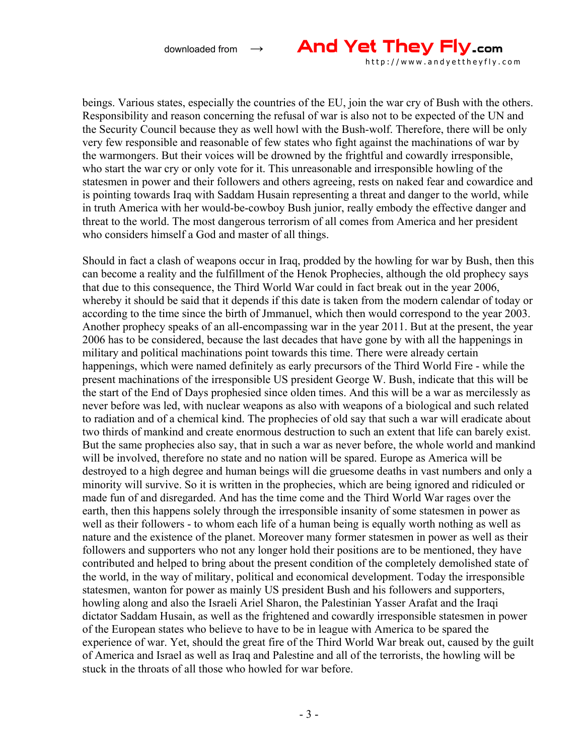

beings. Various states, especially the countries of the EU, join the war cry of Bush with the others. Responsibility and reason concerning the refusal of war is also not to be expected of the UN and the Security Council because they as well howl with the Bush-wolf. Therefore, there will be only very few responsible and reasonable of few states who fight against the machinations of war by the warmongers. But their voices will be drowned by the frightful and cowardly irresponsible, who start the war cry or only vote for it. This unreasonable and irresponsible howling of the statesmen in power and their followers and others agreeing, rests on naked fear and cowardice and is pointing towards Iraq with Saddam Husain representing a threat and danger to the world, while in truth America with her would-be-cowboy Bush junior, really embody the effective danger and threat to the world. The most dangerous terrorism of all comes from America and her president who considers himself a God and master of all things.

Should in fact a clash of weapons occur in Iraq, prodded by the howling for war by Bush, then this can become a reality and the fulfillment of the Henok Prophecies, although the old prophecy says that due to this consequence, the Third World War could in fact break out in the year 2006, whereby it should be said that it depends if this date is taken from the modern calendar of today or according to the time since the birth of Jmmanuel, which then would correspond to the year 2003. Another prophecy speaks of an all-encompassing war in the year 2011. But at the present, the year 2006 has to be considered, because the last decades that have gone by with all the happenings in military and political machinations point towards this time. There were already certain happenings, which were named definitely as early precursors of the Third World Fire - while the present machinations of the irresponsible US president George W. Bush, indicate that this will be the start of the End of Days prophesied since olden times. And this will be a war as mercilessly as never before was led, with nuclear weapons as also with weapons of a biological and such related to radiation and of a chemical kind. The prophecies of old say that such a war will eradicate about two thirds of mankind and create enormous destruction to such an extent that life can barely exist. But the same prophecies also say, that in such a war as never before, the whole world and mankind will be involved, therefore no state and no nation will be spared. Europe as America will be destroyed to a high degree and human beings will die gruesome deaths in vast numbers and only a minority will survive. So it is written in the prophecies, which are being ignored and ridiculed or made fun of and disregarded. And has the time come and the Third World War rages over the earth, then this happens solely through the irresponsible insanity of some statesmen in power as well as their followers - to whom each life of a human being is equally worth nothing as well as nature and the existence of the planet. Moreover many former statesmen in power as well as their followers and supporters who not any longer hold their positions are to be mentioned, they have contributed and helped to bring about the present condition of the completely demolished state of the world, in the way of military, political and economical development. Today the irresponsible statesmen, wanton for power as mainly US president Bush and his followers and supporters, howling along and also the Israeli Ariel Sharon, the Palestinian Yasser Arafat and the Iraqi dictator Saddam Husain, as well as the frightened and cowardly irresponsible statesmen in power of the European states who believe to have to be in league with America to be spared the experience of war. Yet, should the great fire of the Third World War break out, caused by the guilt of America and Israel as well as Iraq and Palestine and all of the terrorists, the howling will be stuck in the throats of all those who howled for war before.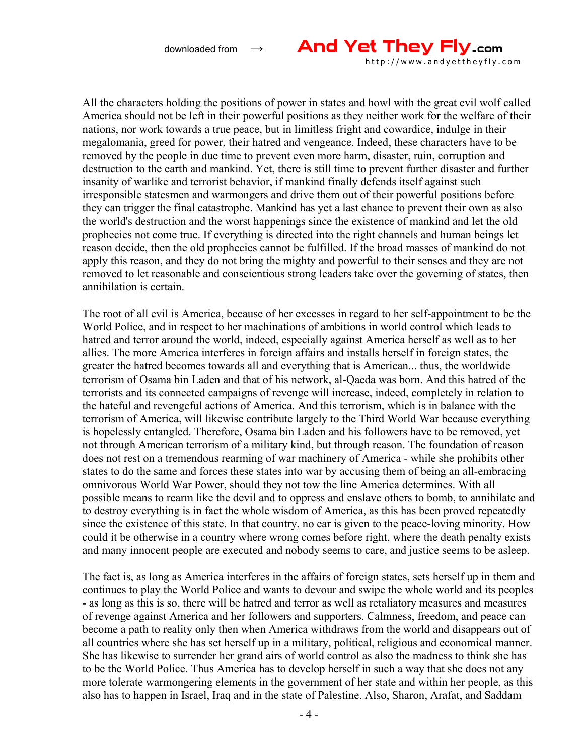

http://www.andyettheyfly.com

All the characters holding the positions of power in states and howl with the great evil wolf called America should not be left in their powerful positions as they neither work for the welfare of their nations, nor work towards a true peace, but in limitless fright and cowardice, indulge in their megalomania, greed for power, their hatred and vengeance. Indeed, these characters have to be removed by the people in due time to prevent even more harm, disaster, ruin, corruption and destruction to the earth and mankind. Yet, there is still time to prevent further disaster and further insanity of warlike and terrorist behavior, if mankind finally defends itself against such irresponsible statesmen and warmongers and drive them out of their powerful positions before they can trigger the final catastrophe. Mankind has yet a last chance to prevent their own as also the world's destruction and the worst happenings since the existence of mankind and let the old prophecies not come true. If everything is directed into the right channels and human beings let reason decide, then the old prophecies cannot be fulfilled. If the broad masses of mankind do not apply this reason, and they do not bring the mighty and powerful to their senses and they are not removed to let reasonable and conscientious strong leaders take over the governing of states, then annihilation is certain.

The root of all evil is America, because of her excesses in regard to her self-appointment to be the World Police, and in respect to her machinations of ambitions in world control which leads to hatred and terror around the world, indeed, especially against America herself as well as to her allies. The more America interferes in foreign affairs and installs herself in foreign states, the greater the hatred becomes towards all and everything that is American... thus, the worldwide terrorism of Osama bin Laden and that of his network, al-Qaeda was born. And this hatred of the terrorists and its connected campaigns of revenge will increase, indeed, completely in relation to the hateful and revengeful actions of America. And this terrorism, which is in balance with the terrorism of America, will likewise contribute largely to the Third World War because everything is hopelessly entangled. Therefore, Osama bin Laden and his followers have to be removed, yet not through American terrorism of a military kind, but through reason. The foundation of reason does not rest on a tremendous rearming of war machinery of America - while she prohibits other states to do the same and forces these states into war by accusing them of being an all-embracing omnivorous World War Power, should they not tow the line America determines. With all possible means to rearm like the devil and to oppress and enslave others to bomb, to annihilate and to destroy everything is in fact the whole wisdom of America, as this has been proved repeatedly since the existence of this state. In that country, no ear is given to the peace-loving minority. How could it be otherwise in a country where wrong comes before right, where the death penalty exists and many innocent people are executed and nobody seems to care, and justice seems to be asleep.

The fact is, as long as America interferes in the affairs of foreign states, sets herself up in them and continues to play the World Police and wants to devour and swipe the whole world and its peoples - as long as this is so, there will be hatred and terror as well as retaliatory measures and measures of revenge against America and her followers and supporters. Calmness, freedom, and peace can become a path to reality only then when America withdraws from the world and disappears out of all countries where she has set herself up in a military, political, religious and economical manner. She has likewise to surrender her grand airs of world control as also the madness to think she has to be the World Police. Thus America has to develop herself in such a way that she does not any more tolerate warmongering elements in the government of her state and within her people, as this also has to happen in Israel, Iraq and in the state of Palestine. Also, Sharon, Arafat, and Saddam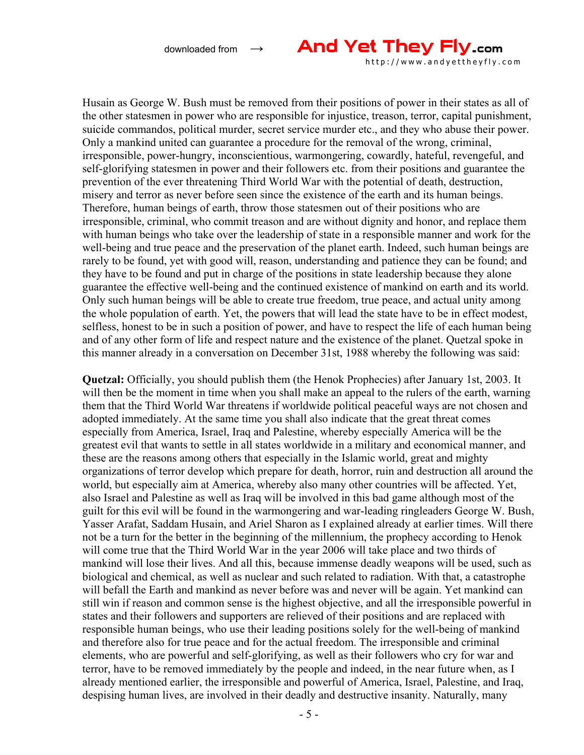

http://www.andyettheyfly.com

Husain as George W. Bush must be removed from their positions of power in their states as all of the other statesmen in power who are responsible for injustice, treason, terror, capital punishment, suicide commandos, political murder, secret service murder etc., and they who abuse their power. Only a mankind united can guarantee a procedure for the removal of the wrong, criminal, irresponsible, power-hungry, inconscientious, warmongering, cowardly, hateful, revengeful, and self-glorifying statesmen in power and their followers etc. from their positions and guarantee the prevention of the ever threatening Third World War with the potential of death, destruction, misery and terror as never before seen since the existence of the earth and its human beings. Therefore, human beings of earth, throw those statesmen out of their positions who are irresponsible, criminal, who commit treason and are without dignity and honor, and replace them with human beings who take over the leadership of state in a responsible manner and work for the well-being and true peace and the preservation of the planet earth. Indeed, such human beings are rarely to be found, yet with good will, reason, understanding and patience they can be found; and they have to be found and put in charge of the positions in state leadership because they alone guarantee the effective well-being and the continued existence of mankind on earth and its world. Only such human beings will be able to create true freedom, true peace, and actual unity among the whole population of earth. Yet, the powers that will lead the state have to be in effect modest, selfless, honest to be in such a position of power, and have to respect the life of each human being and of any other form of life and respect nature and the existence of the planet. Quetzal spoke in this manner already in a conversation on December 31st, 1988 whereby the following was said:

**Quetzal:** Officially, you should publish them (the Henok Prophecies) after January 1st, 2003. It will then be the moment in time when you shall make an appeal to the rulers of the earth, warning them that the Third World War threatens if worldwide political peaceful ways are not chosen and adopted immediately. At the same time you shall also indicate that the great threat comes especially from America, Israel, Iraq and Palestine, whereby especially America will be the greatest evil that wants to settle in all states worldwide in a military and economical manner, and these are the reasons among others that especially in the Islamic world, great and mighty organizations of terror develop which prepare for death, horror, ruin and destruction all around the world, but especially aim at America, whereby also many other countries will be affected. Yet, also Israel and Palestine as well as Iraq will be involved in this bad game although most of the guilt for this evil will be found in the warmongering and war-leading ringleaders George W. Bush, Yasser Arafat, Saddam Husain, and Ariel Sharon as I explained already at earlier times. Will there not be a turn for the better in the beginning of the millennium, the prophecy according to Henok will come true that the Third World War in the year 2006 will take place and two thirds of mankind will lose their lives. And all this, because immense deadly weapons will be used, such as biological and chemical, as well as nuclear and such related to radiation. With that, a catastrophe will befall the Earth and mankind as never before was and never will be again. Yet mankind can still win if reason and common sense is the highest objective, and all the irresponsible powerful in states and their followers and supporters are relieved of their positions and are replaced with responsible human beings, who use their leading positions solely for the well-being of mankind and therefore also for true peace and for the actual freedom. The irresponsible and criminal elements, who are powerful and self-glorifying, as well as their followers who cry for war and terror, have to be removed immediately by the people and indeed, in the near future when, as I already mentioned earlier, the irresponsible and powerful of America, Israel, Palestine, and Iraq, despising human lives, are involved in their deadly and destructive insanity. Naturally, many